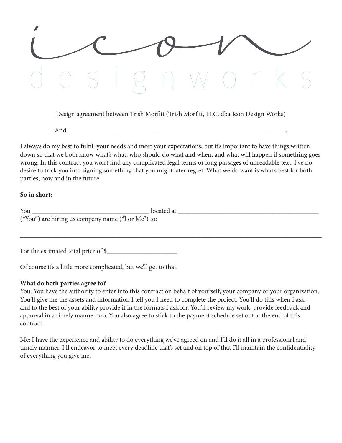

Design agreement between Trish Morfitt (Trish Morfitt, LLC. dba Icon Design Works)

And \_\_\_\_\_\_\_\_\_\_\_\_\_\_\_\_\_\_\_\_\_\_\_\_\_\_\_\_\_\_\_\_\_\_\_\_\_\_\_\_\_\_\_\_\_\_\_\_\_\_\_\_\_\_\_\_\_\_\_\_\_\_\_\_\_.

I always do my best to fulfill your needs and meet your expectations, but it's important to have things written down so that we both know what's what, who should do what and when, and what will happen if something goes wrong. In this contract you won't find any complicated legal terms or long passages of unreadable text. I've no desire to trick you into signing something that you might later regret. What we do want is what's best for both parties, now and in the future.

#### **So in short:**

| You                                                | located at |
|----------------------------------------------------|------------|
| ("You") are hiring us company name ("I or Me") to: |            |
|                                                    |            |
|                                                    |            |
|                                                    |            |

For the estimated total price of \$\_\_\_\_\_\_\_\_\_\_\_\_\_\_\_\_\_\_\_\_\_

Of course it's a little more complicated, but we'll get to that.

#### **What do both parties agree to?**

You: You have the authority to enter into this contract on behalf of yourself, your company or your organization. You'll give me the assets and information I tell you I need to complete the project. You'll do this when I ask and to the best of your ability provide it in the formats I ask for. You'll review my work, provide feedback and approval in a timely manner too. You also agree to stick to the payment schedule set out at the end of this contract.

Me: I have the experience and ability to do everything we've agreed on and I'll do it all in a professional and timely manner. I'll endeavor to meet every deadline that's set and on top of that I'll maintain the confidentiality of everything you give me.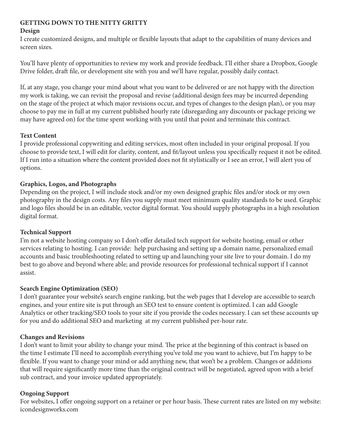## **GETTING DOWN TO THE NITTY GRITTY**

## **Design**

I create customized designs, and multiple or flexible layouts that adapt to the capabilities of many devices and screen sizes.

You'll have plenty of opportunities to review my work and provide feedback. I'll either share a Dropbox, Google Drive folder, draft file, or development site with you and we'll have regular, possibly daily contact.

If, at any stage, you change your mind about what you want to be delivered or are not happy with the direction my work is taking, we can revisit the proposal and revise (additional design fees may be incurred depending on the stage of the project at which major revisions occur, and types of changes to the design plan), or you may choose to pay me in full at my current published hourly rate (disregarding any discounts or package pricing we may have agreed on) for the time spent working with you until that point and terminate this contract.

# **Text Content**

I provide professional copywriting and editing services, most often included in your original proposal. If you choose to provide text, I will edit for clarity, content, and fit/layout unless you specifically request it not be edited. If I run into a situation where the content provided does not fit stylistically or I see an error, I will alert you of options.

## **Graphics, Logos, and Photographs**

Depending on the project, I will include stock and/or my own designed graphic files and/or stock or my own photography in the design costs. Any files you supply must meet minimum quality standards to be used. Graphic and logo files should be in an editable, vector digital format. You should supply photographs in a high resolution digital format.

## **Technical Support**

I'm not a website hosting company so I don't offer detailed tech support for website hosting, email or other services relating to hosting. I can provide: help purchasing and setting up a domain name, personalized email accounts and basic troubleshooting related to setting up and launching your site live to your domain. I do my best to go above and beyond where able; and provide resources for professional technical support if I cannot assist.

## **Search Engine Optimization (SEO)**

I don't guarantee your website's search engine ranking, but the web pages that I develop are accessible to search engines, and your entire site is put through an SEO test to ensure content is optimized. I can add Google Analytics or other tracking/SEO tools to your site if you provide the codes necessary. I can set these accounts up for you and do additional SEO and marketing at my current published per-hour rate.

## **Changes and Revisions**

I don't want to limit your ability to change your mind. The price at the beginning of this contract is based on the time I estimate I'll need to accomplish everything you've told me you want to achieve, but I'm happy to be flexible. If you want to change your mind or add anything new, that won't be a problem. Changes or additions that will require significantly more time than the original contract will be negotiated, agreed upon with a brief sub contract, and your invoice updated appropriately.

## **Ongoing Support**

For websites, I offer ongoing support on a retainer or per hour basis. These current rates are listed on my website: icondesignworks.com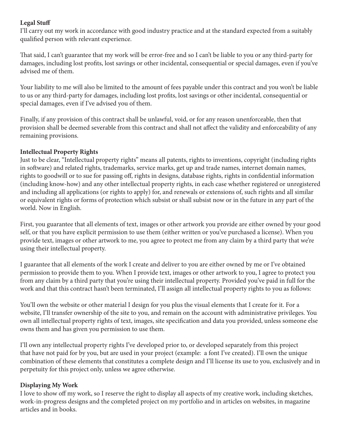## **Legal Stuff**

I'll carry out my work in accordance with good industry practice and at the standard expected from a suitably qualified person with relevant experience.

That said, I can't guarantee that my work will be error-free and so I can't be liable to you or any third-party for damages, including lost profits, lost savings or other incidental, consequential or special damages, even if you've advised me of them.

Your liability to me will also be limited to the amount of fees payable under this contract and you won't be liable to us or any third-party for damages, including lost profits, lost savings or other incidental, consequential or special damages, even if I've advised you of them.

Finally, if any provision of this contract shall be unlawful, void, or for any reason unenforceable, then that provision shall be deemed severable from this contract and shall not affect the validity and enforceability of any remaining provisions.

#### **Intellectual Property Rights**

Just to be clear, "Intellectual property rights" means all patents, rights to inventions, copyright (including rights in software) and related rights, trademarks, service marks, get up and trade names, internet domain names, rights to goodwill or to sue for passing off, rights in designs, database rights, rights in confidential information (including know-how) and any other intellectual property rights, in each case whether registered or unregistered and including all applications (or rights to apply) for, and renewals or extensions of, such rights and all similar or equivalent rights or forms of protection which subsist or shall subsist now or in the future in any part of the world. Now in English.

First, you guarantee that all elements of text, images or other artwork you provide are either owned by your good self, or that you have explicit permission to use them (either written or you've purchased a license). When you provide text, images or other artwork to me, you agree to protect me from any claim by a third party that we're using their intellectual property.

I guarantee that all elements of the work I create and deliver to you are either owned by me or I've obtained permission to provide them to you. When I provide text, images or other artwork to you, I agree to protect you from any claim by a third party that you're using their intellectual property. Provided you've paid in full for the work and that this contract hasn't been terminated, I'll assign all intellectual property rights to you as follows:

You'll own the website or other material I design for you plus the visual elements that I create for it. For a website, I'll transfer ownership of the site to you, and remain on the account with administrative privileges. You own all intellectual property rights of text, images, site specification and data you provided, unless someone else owns them and has given you permission to use them.

I'll own any intellectual property rights I've developed prior to, or developed separately from this project that have not paid for by you, but are used in your project (example: a font I've created). I'll own the unique combination of these elements that constitutes a complete design and I'll license its use to you, exclusively and in perpetuity for this project only, unless we agree otherwise.

## **Displaying My Work**

I love to show off my work, so I reserve the right to display all aspects of my creative work, including sketches, work-in-progress designs and the completed project on my portfolio and in articles on websites, in magazine articles and in books.